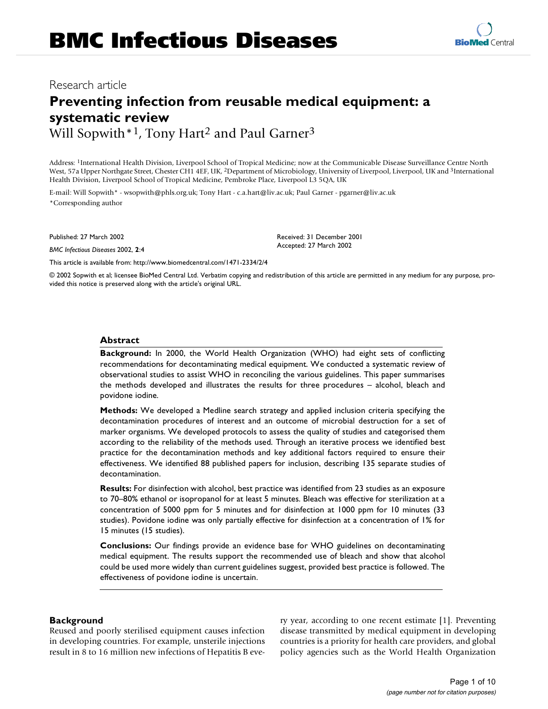# Research article

# **Preventing infection from reusable medical equipment: a systematic review**

Will Sopwith\*1, Tony Hart<sup>2</sup> and Paul Garner<sup>3</sup>

Address: 1International Health Division, Liverpool School of Tropical Medicine; now at the Communicable Disease Surveillance Centre North West, 57a Upper Northgate Street, Chester CH1 4EF, UK, 2Department of Microbiology, University of Liverpool, Liverpool, UK and 3International Health Division, Liverpool School of Tropical Medicine, Pembroke Place, Liverpool L3 5QA, UK

E-mail: Will Sopwith\* - wsopwith@phls.org.uk; Tony Hart - c.a.hart@liv.ac.uk; Paul Garner - pgarner@liv.ac.uk \*Corresponding author

Published: 27 March 2002

*BMC Infectious Diseases* 2002, **2**:4

[This article is available from: http://www.biomedcentral.com/1471-2334/2/4](http://www.biomedcentral.com/1471-2334/2/4)

Received: 31 December 2001 Accepted: 27 March 2002

© 2002 Sopwith et al; licensee BioMed Central Ltd. Verbatim copying and redistribution of this article are permitted in any medium for any purpose, provided this notice is preserved along with the article's original URL.

## **Abstract**

**Background:** In 2000, the World Health Organization (WHO) had eight sets of conflicting recommendations for decontaminating medical equipment. We conducted a systematic review of observational studies to assist WHO in reconciling the various guidelines. This paper summarises the methods developed and illustrates the results for three procedures – alcohol, bleach and povidone iodine.

**Methods:** We developed a Medline search strategy and applied inclusion criteria specifying the decontamination procedures of interest and an outcome of microbial destruction for a set of marker organisms. We developed protocols to assess the quality of studies and categorised them according to the reliability of the methods used. Through an iterative process we identified best practice for the decontamination methods and key additional factors required to ensure their effectiveness. We identified 88 published papers for inclusion, describing 135 separate studies of decontamination.

**Results:** For disinfection with alcohol, best practice was identified from 23 studies as an exposure to 70–80% ethanol or isopropanol for at least 5 minutes. Bleach was effective for sterilization at a concentration of 5000 ppm for 5 minutes and for disinfection at 1000 ppm for 10 minutes (33 studies). Povidone iodine was only partially effective for disinfection at a concentration of 1% for 15 minutes (15 studies).

**Conclusions:** Our findings provide an evidence base for WHO guidelines on decontaminating medical equipment. The results support the recommended use of bleach and show that alcohol could be used more widely than current guidelines suggest, provided best practice is followed. The effectiveness of povidone iodine is uncertain.

# **Background**

Reused and poorly sterilised equipment causes infection in developing countries. For example, unsterile injections result in 8 to 16 million new infections of Hepatitis B eve-

ry year, according to one recent estimate [1]. Preventing disease transmitted by medical equipment in developing countries is a priority for health care providers, and global policy agencies such as the World Health Organization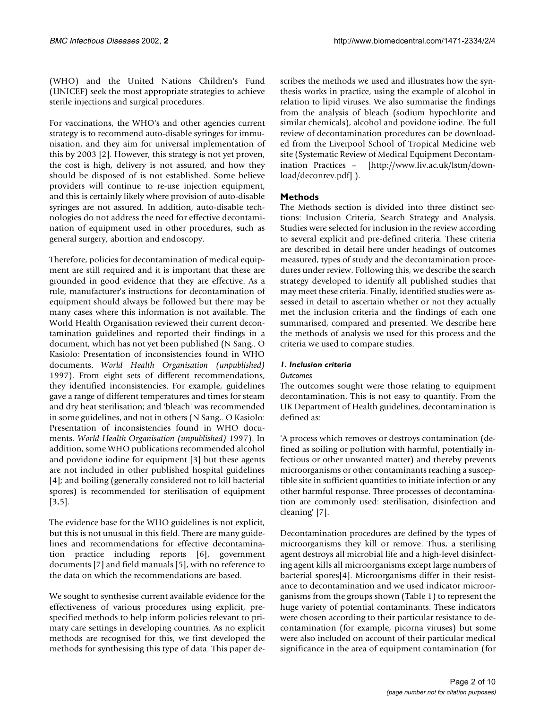(WHO) and the United Nations Children's Fund (UNICEF) seek the most appropriate strategies to achieve sterile injections and surgical procedures.

For vaccinations, the WHO's and other agencies current strategy is to recommend auto-disable syringes for immunisation, and they aim for universal implementation of this by 2003 [2]. However, this strategy is not yet proven, the cost is high, delivery is not assured, and how they should be disposed of is not established. Some believe providers will continue to re-use injection equipment, and this is certainly likely where provision of auto-disable syringes are not assured. In addition, auto-disable technologies do not address the need for effective decontamination of equipment used in other procedures, such as general surgery, abortion and endoscopy.

Therefore, policies for decontamination of medical equipment are still required and it is important that these are grounded in good evidence that they are effective. As a rule, manufacturer's instructions for decontamination of equipment should always be followed but there may be many cases where this information is not available. The World Health Organisation reviewed their current decontamination guidelines and reported their findings in a document, which has not yet been published (N Sang,. O Kasiolo: Presentation of inconsistencies found in WHO documents. *World Health Organisation (unpublished)* 1997). From eight sets of different recommendations, they identified inconsistencies. For example, guidelines gave a range of different temperatures and times for steam and dry heat sterilisation; and 'bleach' was recommended in some guidelines, and not in others (N Sang,. O Kasiolo: Presentation of inconsistencies found in WHO documents. *World Health Organisation (unpublished)* 1997). In addition, some WHO publications recommended alcohol and povidone iodine for equipment [3] but these agents are not included in other published hospital guidelines [4]; and boiling (generally considered not to kill bacterial spores) is recommended for sterilisation of equipment [3,5].

The evidence base for the WHO guidelines is not explicit, but this is not unusual in this field. There are many guidelines and recommendations for effective decontamination practice including reports [6], government documents [7] and field manuals [5], with no reference to the data on which the recommendations are based.

We sought to synthesise current available evidence for the effectiveness of various procedures using explicit, pre[specified methods to help inform policies relevant to pri](http://www.liv.ac.uk/lstm/download/deconrev.pdf)mary care settings in developing countries. As no explicit methods are recognised for this, we first developed the methods for synthesising this type of data. This paper de[scribes the methods we used and illustrates how the syn](http://www.liv.ac.uk/lstm/download/deconrev.pdf)thesis works in practice, using the example of alcohol in relation to lipid viruses. We also summarise the findings from the analysis of bleach (sodium hypochlorite and similar chemicals), alcohol and povidone iodine. The full review of decontamination procedures can be downloaded from the Liverpool School of Tropical Medicine web site (Systematic Review of Medical Equipment Decontamination Practices – [http://www.liv.ac.uk/lstm/download/deconrev.pdf] ).

# **Methods**

The Methods section is divided into three distinct sections: Inclusion Criteria, Search Strategy and Analysis. Studies were selected for inclusion in the review according to several explicit and pre-defined criteria. These criteria are described in detail here under headings of outcomes measured, types of study and the decontamination procedures under review. Following this, we describe the search strategy developed to identify all published studies that may meet these criteria. Finally, identified studies were assessed in detail to ascertain whether or not they actually met the inclusion criteria and the findings of each one summarised, compared and presented. We describe here the methods of analysis we used for this process and the criteria we used to compare studies.

# *1. Inclusion criteria*

## *Outcomes*

The outcomes sought were those relating to equipment decontamination. This is not easy to quantify. From the UK Department of Health guidelines, decontamination is defined as:

'A process which removes or destroys contamination (defined as soiling or pollution with harmful, potentially infectious or other unwanted matter) and thereby prevents microorganisms or other contaminants reaching a susceptible site in sufficient quantities to initiate infection or any other harmful response. Three processes of decontamination are commonly used: sterilisation, disinfection and cleaning' [7].

Decontamination procedures are defined by the types of microorganisms they kill or remove. Thus, a sterilising agent destroys all microbial life and a high-level disinfecting agent kills all microorganisms except large numbers of bacterial spores[4]. Microorganisms differ in their resistance to decontamination and we used indicator microorganisms from the groups shown (Table 1) to represent the huge variety of potential contaminants. These indicators were chosen according to their particular resistance to decontamination (for example, picorna viruses) but some were also included on account of their particular medical significance in the area of equipment contamination (for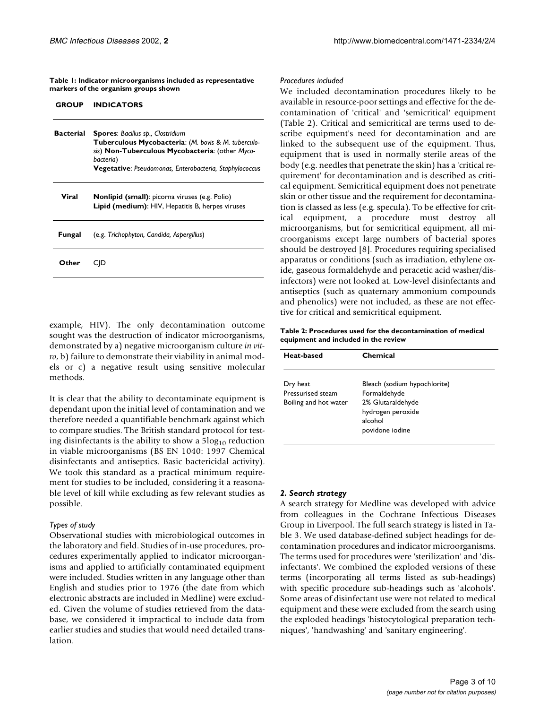**Table 1: Indicator microorganisms included as representative markers of the organism groups shown**

| <b>Bacterial</b> | Spores: Bacillus sp., Clostridium                                                                                   |  |  |  |
|------------------|---------------------------------------------------------------------------------------------------------------------|--|--|--|
|                  | Tuberculous Mycobacteria: (M. bovis & M. tuberculo-<br>sis) Non-Tuberculous Mycobacteria: (other Myco-<br>bacteria) |  |  |  |
|                  | Vegetative: Pseudomonas, Enterobacteria, Staphylococcus                                                             |  |  |  |
| Viral            | <b>Nonlipid (small)</b> : picorna viruses (e.g. Polio)                                                              |  |  |  |
|                  | <b>Lipid (medium)</b> : HIV, Hepatitis B, herpes viruses                                                            |  |  |  |
| Fungal           | (e.g. Trichophyton, Candida, Aspergillus)                                                                           |  |  |  |
| Other            |                                                                                                                     |  |  |  |

example, HIV). The only decontamination outcome sought was the destruction of indicator microorganisms, demonstrated by a) negative microorganism culture *in vitro*, b) failure to demonstrate their viability in animal models or c) a negative result using sensitive molecular methods.

It is clear that the ability to decontaminate equipment is dependant upon the initial level of contamination and we therefore needed a quantifiable benchmark against which to compare studies. The British standard protocol for testing disinfectants is the ability to show a  $5\log_{10}$  reduction in viable microorganisms (BS EN 1040: 1997 Chemical disinfectants and antiseptics. Basic bactericidal activity). We took this standard as a practical minimum requirement for studies to be included, considering it a reasonable level of kill while excluding as few relevant studies as possible.

## *Types of study*

Observational studies with microbiological outcomes in the laboratory and field. Studies of in-use procedures, procedures experimentally applied to indicator microorganisms and applied to artificially contaminated equipment were included. Studies written in any language other than English and studies prior to 1976 (the date from which electronic abstracts are included in Medline) were excluded. Given the volume of studies retrieved from the database, we considered it impractical to include data from earlier studies and studies that would need detailed translation.

#### *Procedures included*

<span id="page-2-0"></span>We included decontamination procedures likely to be available in resource-poor settings and effective for the decontamination of 'critical' and 'semicritical' equipment (Table [2\)](#page-2-0). Critical and semicritical are terms used to describe equipment's need for decontamination and are linked to the subsequent use of the equipment. Thus, equipment that is used in normally sterile areas of the body (e.g. needles that penetrate the skin) has a 'critical requirement' for decontamination and is described as critical equipment. Semicritical equipment does not penetrate skin or other tissue and the requirement for decontamination is classed as less (e.g. specula). To be effective for critical equipment, a procedure must destroy all microorganisms, but for semicritical equipment, all microorganisms except large numbers of bacterial spores should be destroyed [8]. Procedures requiring specialised apparatus or conditions (such as irradiation, ethylene oxide, gaseous formaldehyde and peracetic acid washer/disinfectors) were not looked at. Low-level disinfectants and antiseptics (such as quaternary ammonium compounds and phenolics) were not included, as these are not effective for critical and semicritical equipment.

**Table 2: Procedures used for the decontamination of medical equipment and included in the review**

| Heat-based                                             | Chemical                                                                                                             |
|--------------------------------------------------------|----------------------------------------------------------------------------------------------------------------------|
| Dry heat<br>Pressurised steam<br>Boiling and hot water | Bleach (sodium hypochlorite)<br>Formaldehyde<br>2% Glutaraldehyde<br>hydrogen peroxide<br>alcohol<br>povidone iodine |

## *2. Search strategy*

A search strategy for Medline was developed with advice from colleagues in the Cochrane Infectious Diseases Group in Liverpool. The full search strategy is listed in Table 3. We used database-defined subject headings for decontamination procedures and indicator microorganisms. The terms used for procedures were 'sterilization' and 'disinfectants'. We combined the exploded versions of these terms (incorporating all terms listed as sub-headings) with specific procedure sub-headings such as 'alcohols'. Some areas of disinfectant use were not related to medical equipment and these were excluded from the search using the exploded headings 'histocytological preparation techniques', 'handwashing' and 'sanitary engineering'.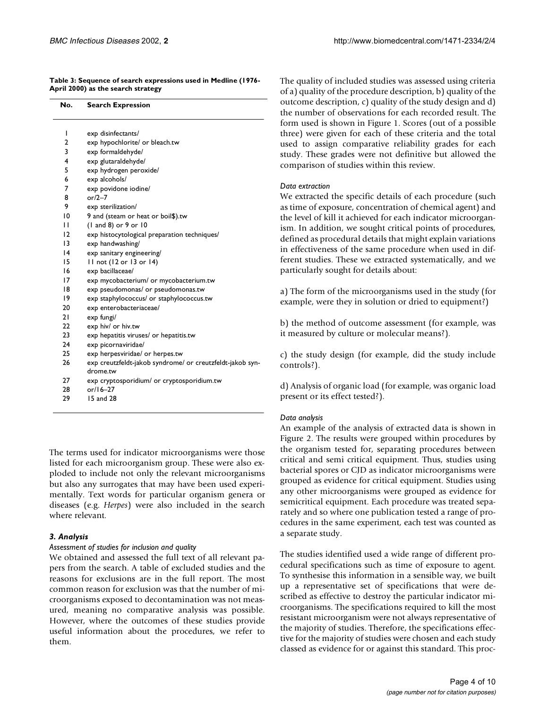| Table 3: Sequence of search expressions used in Medline (1976- |  |
|----------------------------------------------------------------|--|
| April 2000) as the search strategy                             |  |

#### **No. Search Expression**

| I              |                                                           |
|----------------|-----------------------------------------------------------|
| $\overline{2}$ | exp disinfectants/                                        |
| 3              | exp hypochlorite/ or bleach.tw                            |
|                | exp formaldehyde/                                         |
| $\overline{4}$ | exp glutaraldehyde/                                       |
| 5              | exp hydrogen peroxide/                                    |
| 6              | exp alcohols/                                             |
| 7              | exp povidone iodine/                                      |
| 8              | $or/2-7$                                                  |
| 9              | exp sterilization/                                        |
| 10             | 9 and (steam or heat or boil\$).tw                        |
| П              | $(1$ and 8) or 9 or $10$                                  |
| 12             | exp histocytological preparation techniques/              |
| 13             | exp handwashing/                                          |
| 4              | exp sanitary engineering/                                 |
| 15             | 11 not (12 or 13 or 14)                                   |
| 16             | exp bacillaceae/                                          |
| 17             | exp mycobacterium/ or mycobacterium.tw                    |
| 18             | exp pseudomonas/ or pseudomonas.tw                        |
| 19             | exp staphylococcus/ or staphylococcus.tw                  |
| 20             | exp enterobacteriaceae/                                   |
| 21             | exp fungi/                                                |
| 22             | exp hiv/ or hiv.tw                                        |
| 23             | exp hepatitis viruses/ or hepatitis.tw                    |
| 24             | exp picornaviridae/                                       |
| 25             | exp herpesviridae/ or herpes.tw                           |
| 26             | exp creutzfeldt-jakob syndrome/ or creutzfeldt-jakob syn- |
|                | drome.tw                                                  |
| 27             | exp cryptosporidium/ or cryptosporidium.tw                |
| 28             | or/16-27                                                  |

29 15 and 28

The terms used for indicator microorganisms were those listed for each microorganism group. These were also exploded to include not only the relevant microorganisms but also any surrogates that may have been used experimentally. Text words for particular organism genera or diseases (e.g. *Herpes*) were also included in the search where relevant.

## *3. Analysis*

## *Assessment of studies for inclusion and quality*

We obtained and assessed the full text of all relevant papers from the search. A table of excluded studies and the reasons for exclusions are in the full report. The most common reason for exclusion was that the number of microorganisms exposed to decontamination was not measured, meaning no comparative analysis was possible. However, where the outcomes of these studies provide useful information about the procedures, we refer to them.

The quality of included studies was assessed using criteria of a) quality of the procedure description, b) quality of the outcome description, c) quality of the study design and d) the number of observations for each recorded result. The form used is shown in Figure [1](#page-4-0). Scores (out of a possible three) were given for each of these criteria and the total used to assign comparative reliability grades for each study. These grades were not definitive but allowed the comparison of studies within this review.

## *Data extraction*

We extracted the specific details of each procedure (such as time of exposure, concentration of chemical agent) and the level of kill it achieved for each indicator microorganism. In addition, we sought critical points of procedures, defined as procedural details that might explain variations in effectiveness of the same procedure when used in different studies. These we extracted systematically, and we particularly sought for details about:

a) The form of the microorganisms used in the study (for example, were they in solution or dried to equipment?)

b) the method of outcome assessment (for example, was it measured by culture or molecular means?).

c) the study design (for example, did the study include controls?).

d) Analysis of organic load (for example, was organic load present or its effect tested?).

## *Data analysis*

An example of the analysis of extracted data is shown in Figure 2. The results were grouped within procedures by the organism tested for, separating procedures between critical and semi critical equipment. Thus, studies using bacterial spores or CJD as indicator microorganisms were grouped as evidence for critical equipment. Studies using any other microorganisms were grouped as evidence for semicritical equipment. Each procedure was treated separately and so where one publication tested a range of procedures in the same experiment, each test was counted as a separate study.

The studies identified used a wide range of different procedural specifications such as time of exposure to agent. To synthesise this information in a sensible way, we built up a representative set of specifications that were described as effective to destroy the particular indicator microorganisms. The specifications required to kill the most resistant microorganism were not always representative of the majority of studies. Therefore, the specifications effective for the majority of studies were chosen and each study classed as evidence for or against this standard. This proc-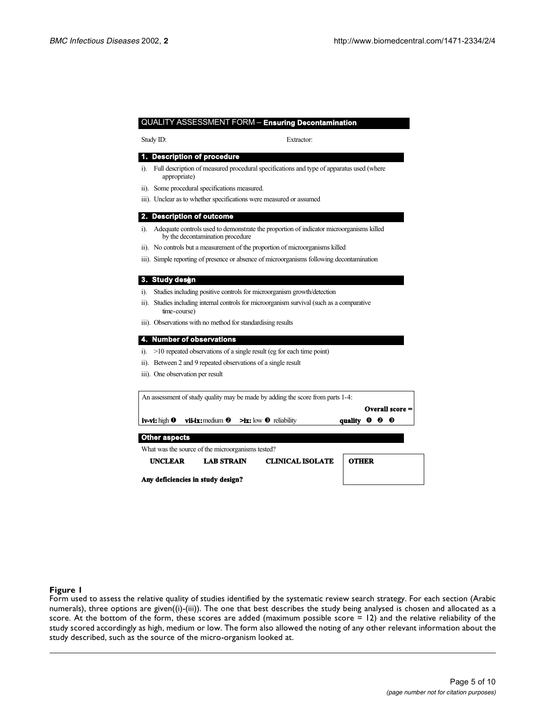## QUALITY ASSESSMENT FORM – **Ensuring Decontamination**

Study ID: Extractor:

#### **1. Description of procedure**

- i). Full description of measured procedural specifications and type of apparatus used (where appropriate)
- ii). Some procedural specifications measured.
- iii). Unclear as to whether specifications were measured or assumed

#### **2. Description of outcome**

- i). Adequate controls used to demonstrate the proportion of indicator microorganisms killed by the decontamination procedure
- ii). No controls but a measurement of the proportion of microorganisms killed
- iii). Simple reporting of presence or absence of microorganisms following decontamination

#### **3. Study design**

- i). Studies including positive controls for microorganism growth/detection
- ii). Studies including internal controls for microorganism survival (such as a comparative time-course)
- iii). Observations with no method for standardising results

#### **4. Number of observations**

- i). >10 repeated observations of a single result (eg for each time point)
- ii). Between 2 and 9 repeated observations of a single result
- iii). One observation per result

|                                   |                                                   | An assessment of study quality may be made by adding the score from parts 1-4: |              |   |                   |  |
|-----------------------------------|---------------------------------------------------|--------------------------------------------------------------------------------|--------------|---|-------------------|--|
|                                   |                                                   |                                                                                |              |   | Overall score $=$ |  |
| $iv$ -vi: high $\mathbf 0$        | $vii$ -ix: medium $\Theta$                        | $\Rightarrow$ ix: low $\bullet$ reliability                                    | quality      | o | 0 O               |  |
| <b>Other aspects</b>              |                                                   |                                                                                |              |   |                   |  |
|                                   | What was the source of the microorganisms tested? |                                                                                |              |   |                   |  |
| <b>UNCLEAR</b>                    | <b>LAB STRAIN</b>                                 | <b>CLINICAL ISOLATE</b>                                                        | <b>OTHER</b> |   |                   |  |
| Any deficiencies in study design? |                                                   |                                                                                |              |   |                   |  |

## <span id="page-4-0"></span>**Figure 1**

Form used to assess the relative quality of studies identified by the systematic review search strategy. For each section (Arabic numerals), three options are given((i)-(iii)). The one that best describes the study being analysed is chosen and allocated as a score. At the bottom of the form, these scores are added (maximum possible score = 12) and the relative reliability of the study scored accordingly as high, medium or low. The form also allowed the noting of any other relevant information about the study described, such as the source of the micro-organism looked at.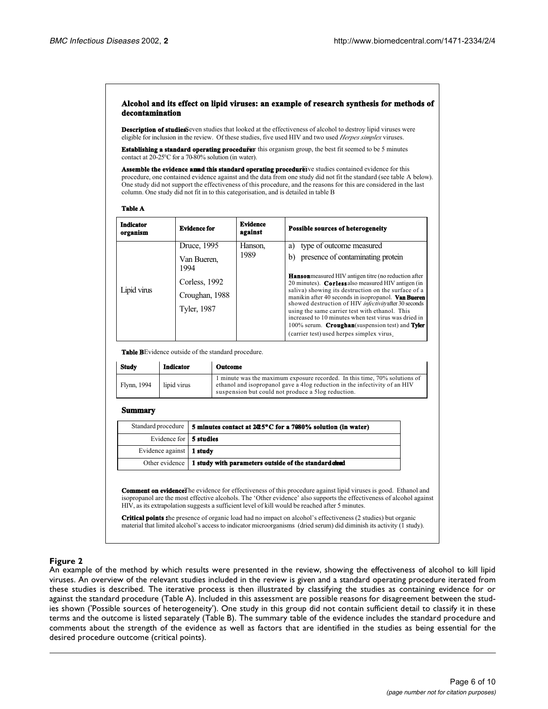## **Alcohol and its effect on lipid viruses: an example of research synthesis for methods of decontamination**

**Description of studies** Seven studies that looked at the effectiveness of alcohol to destroy lipid viruses were eligible for inclusion in the review. Of these studies, five used HIV and two used *Herpes simplex* viruses.

**Establishing a standard operating procedurent** this organism group, the best fit seemed to be 5 minutes contact at 20-25°C for a 70-80% solution (in water).

emble the evidence armd this standard operating procedureive studies contained evidence for this procedure, one contained evidence against and the data from one study did not fit the standard (see table A below). One study did not support the effectiveness of this procedure, and the reasons for this are considered in the last column. One study did not fit in to this categorisation, and is detailed in table B

#### **Table A**

| <b>Indicator</b><br>organism | <b>Evidence for</b>                                                                  | <b>Evidence</b><br>against | <b>Possible sources of heterogeneity</b>                                                                                                                                                                                                                                                                                                                                                                                                                                                                                                                      |
|------------------------------|--------------------------------------------------------------------------------------|----------------------------|---------------------------------------------------------------------------------------------------------------------------------------------------------------------------------------------------------------------------------------------------------------------------------------------------------------------------------------------------------------------------------------------------------------------------------------------------------------------------------------------------------------------------------------------------------------|
| Lipid virus                  | Druce, 1995<br>Van Bueren,<br>1994<br>Corless, 1992<br>Croughan, 1988<br>Tyler, 1987 | Hanson,<br>1989            | type of outcome measured<br>a)<br>presence of contaminating protein<br>b)<br><b>Hanson</b> measured HIV antigen titre (no reduction after<br>20 minutes). <b>Corless</b> also measured HIV antigen (in<br>saliva) showing its destruction on the surface of a<br>manikin after 40 seconds in isopropanol. Van Bueren<br>showed destruction of HIV infectivity after 30 seconds<br>using the same carrier test with ethanol. This<br>increased to 10 minutes when test virus was dried in<br>$100\%$ serum. <b>Croughan</b> (suspension test) and <b>Tyler</b> |
|                              |                                                                                      |                            | (carrier test) used herpes simplex virus.                                                                                                                                                                                                                                                                                                                                                                                                                                                                                                                     |

Table BEvidence outside of the standard procedure.

| <b>Study</b> | <b>Indicator</b> | <b>Outcome</b>                                                                                                                                                                                                 |
|--------------|------------------|----------------------------------------------------------------------------------------------------------------------------------------------------------------------------------------------------------------|
| Flynn, 1994  | lipid virus      | 1 minute was the maximum exposure recorded. In this time, 70% solutions of<br>ethanol and isopropanol gave a 4log reduction in the infectivity of an HIV<br>suspension but could not produce a 5log reduction. |

#### **Summary**

|                                  | Standard procedure   5 minutes contact at $20.5^{\circ}$ C for a 7080% solution (in water) |
|----------------------------------|--------------------------------------------------------------------------------------------|
| Evidence for 5 studies           |                                                                                            |
| Evidence against $\vert$ 1 study |                                                                                            |
|                                  | Other evidence   1 study with parameters outside of the standard cheed                     |

**Comment on evidence:** The evidence for effectiveness of this procedure against lipid viruses is good. Ethanol and isopropanol are the most effective alcohols. The 'Other evidence' also supports the effectiveness of alcohol against HIV, as its extrapolation suggests a sufficient level of kill would be reached after 5 minutes.

**Critical points** the presence of organic load had no impact on alcohol's effectiveness (2 studies) but organic material that limited alcohol's access to indicator microorganisms (dried serum) did diminish its activity (1 study).

## **Figure 2**

An example of the method by which results were presented in the review, showing the effectiveness of alcohol to kill lipid viruses. An overview of the relevant studies included in the review is given and a standard operating procedure iterated from these studies is described. The iterative process is then illustrated by classifying the studies as containing evidence for or against the standard procedure (Table A). Included in this assessment are possible reasons for disagreement between the studies shown ('Possible sources of heterogeneity'). One study in this group did not contain sufficient detail to classify it in these terms and the outcome is listed separately (Table B). The summary table of the evidence includes the standard procedure and comments about the strength of the evidence as well as factors that are identified in the studies as being essential for the desired procedure outcome (critical points).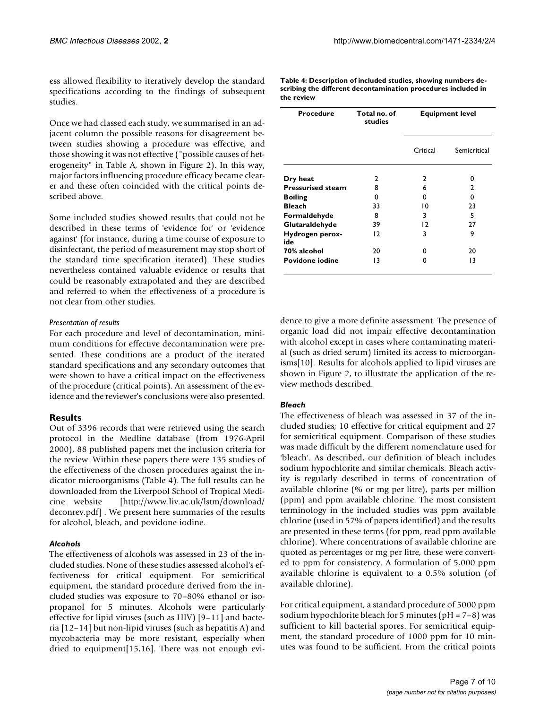ess allowed flexibility to iteratively develop the standard specifications according to the findings of subsequent studies.

Once we had classed each study, we summarised in an adjacent column the possible reasons for disagreement between studies showing a procedure was effective, and those showing it was not effective ("possible causes of heterogeneity" in Table A, shown in Figure 2). In this way, major factors influencing procedure efficacy became clearer and these often coincided with the critical points described above.

Some included studies showed results that could not be described in these terms of 'evidence for' or 'evidence against' (for instance, during a time course of exposure to disinfectant, the period of measurement may stop short of the standard time specification iterated). These studies nevertheless contained valuable evidence or results that could be reasonably extrapolated and they are described and referred to when the effectiveness of a procedure is not clear from other studies.

## *Presentation of results*

For each procedure and level of decontamination, minimum conditions for effective decontamination were presented. These conditions are a product of the iterated standard specifications and any secondary outcomes that were shown to have a critical impact on the effectiveness of the procedure (critical points). An assessment of the evidence and the reviewer's conclusions were also presented.

# **Results**

Out of 3396 records that were retrieved using the search [protocol in the Medline database \(from 1976-April](http://www.liv.ac.uk/lstm/download/deconrev.pdf) 2000), 88 published papers met the inclusion criteria for the review. Within these papers there were 135 studies of the effectiveness of the chosen procedures against the indicator microorganisms (Table 4). The full results can be downloaded from the Liverpool School of Tropical Medicine website [http://www.liv.ac.uk/lstm/download/ deconrev.pdf] . We present here summaries of the results for alcohol, bleach, and povidone iodine.

# *Alcohols*

The effectiveness of alcohols was assessed in 23 of the included studies. None of these studies assessed alcohol's effectiveness for critical equipment. For semicritical equipment, the standard procedure derived from the included studies was exposure to 70–80% ethanol or isopropanol for 5 minutes. Alcohols were particularly effective for lipid viruses (such as HIV) [9–11] and bacteria [12–14] but non-lipid viruses (such as hepatitis A) and mycobacteria may be more resistant, especially when dried to equipment[15,16]. There was not enough evi-

**Table 4: Description of included studies, showing numbers describing the different decontamination procedures included in the review**

| <b>Procedure</b>         | Total no. of<br>studies | <b>Equipment level</b> |              |  |
|--------------------------|-------------------------|------------------------|--------------|--|
|                          |                         | Critical               | Semicritical |  |
| Dry heat                 | 2                       | 2                      | 0            |  |
| <b>Pressurised steam</b> | 8                       | 6                      | 2            |  |
| <b>Boiling</b>           | O                       | O                      | 0            |  |
| <b>Bleach</b>            | 33                      | 10                     | 23           |  |
| Formaldehyde             | 8                       | 3                      | 5            |  |
| Glutaraldehyde           | 39                      | 12                     | 27           |  |
| Hydrogen perox-<br>ide   | 12                      | 3                      | 9            |  |
| 70% alcohol              | 20                      | 0                      | 20           |  |
| Povidone iodine          | 13                      | 0                      | 13           |  |

dence to give a more definite assessment. The presence of organic load did not impair effective decontamination with alcohol except in cases where contaminating material (such as dried serum) limited its access to microorganisms[10]. Results for alcohols applied to lipid viruses are shown in Figure 2, to illustrate the application of the review methods described.

# *Bleach*

The effectiveness of bleach was assessed in 37 of the included studies; 10 effective for critical equipment and 27 for semicritical equipment. Comparison of these studies was made difficult by the different nomenclature used for 'bleach'. As described, our definition of bleach includes sodium hypochlorite and similar chemicals. Bleach activity is regularly described in terms of concentration of available chlorine (% or mg per litre), parts per million (ppm) and ppm available chlorine. The most consistent terminology in the included studies was ppm available chlorine (used in 57% of papers identified) and the results are presented in these terms (for ppm, read ppm available chlorine). Where concentrations of available chlorine are quoted as percentages or mg per litre, these were converted to ppm for consistency. A formulation of 5,000 ppm available chlorine is equivalent to a 0.5% solution (of available chlorine).

For critical equipment, a standard procedure of 5000 ppm sodium hypochlorite bleach for 5 minutes ( $pH = 7-8$ ) was sufficient to kill bacterial spores. For semicritical equipment, the standard procedure of 1000 ppm for 10 minutes was found to be sufficient. From the critical points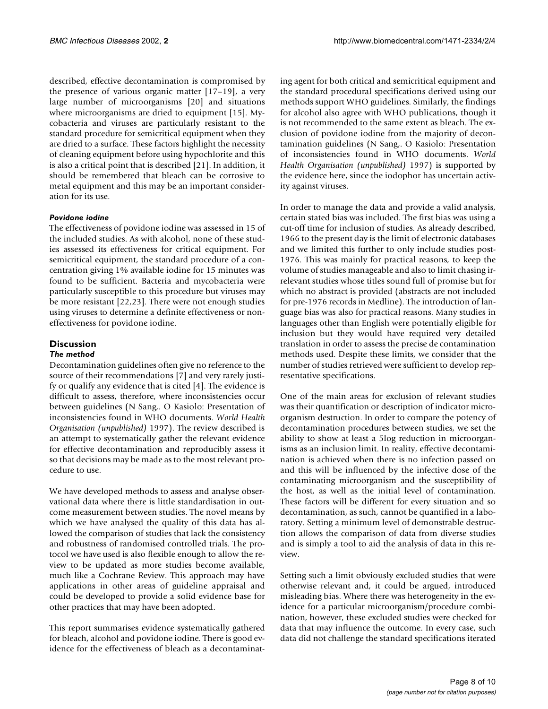described, effective decontamination is compromised by the presence of various organic matter [17–19], a very large number of microorganisms [20] and situations where microorganisms are dried to equipment [15]. Mycobacteria and viruses are particularly resistant to the standard procedure for semicritical equipment when they are dried to a surface. These factors highlight the necessity of cleaning equipment before using hypochlorite and this is also a critical point that is described [21]. In addition, it should be remembered that bleach can be corrosive to metal equipment and this may be an important consideration for its use.

# *Povidone iodine*

The effectiveness of povidone iodine was assessed in 15 of the included studies. As with alcohol, none of these studies assessed its effectiveness for critical equipment. For semicritical equipment, the standard procedure of a concentration giving 1% available iodine for 15 minutes was found to be sufficient. Bacteria and mycobacteria were particularly susceptible to this procedure but viruses may be more resistant [22,23]. There were not enough studies using viruses to determine a definite effectiveness or noneffectiveness for povidone iodine.

# **Discussion**

# *The method*

Decontamination guidelines often give no reference to the source of their recommendations [7] and very rarely justify or qualify any evidence that is cited [4]. The evidence is difficult to assess, therefore, where inconsistencies occur between guidelines (N Sang,. O Kasiolo: Presentation of inconsistencies found in WHO documents. *World Health Organisation (unpublished)* 1997). The review described is an attempt to systematically gather the relevant evidence for effective decontamination and reproducibly assess it so that decisions may be made as to the most relevant procedure to use.

We have developed methods to assess and analyse observational data where there is little standardisation in outcome measurement between studies. The novel means by which we have analysed the quality of this data has allowed the comparison of studies that lack the consistency and robustness of randomised controlled trials. The protocol we have used is also flexible enough to allow the review to be updated as more studies become available, much like a Cochrane Review. This approach may have applications in other areas of guideline appraisal and could be developed to provide a solid evidence base for other practices that may have been adopted.

This report summarises evidence systematically gathered for bleach, alcohol and povidone iodine. There is good evidence for the effectiveness of bleach as a decontaminat-

ing agent for both critical and semicritical equipment and the standard procedural specifications derived using our methods support WHO guidelines. Similarly, the findings for alcohol also agree with WHO publications, though it is not recommended to the same extent as bleach. The exclusion of povidone iodine from the majority of decontamination guidelines (N Sang,. O Kasiolo: Presentation of inconsistencies found in WHO documents. *World Health Organisation (unpublished)* 1997) is supported by the evidence here, since the iodophor has uncertain activity against viruses.

In order to manage the data and provide a valid analysis, certain stated bias was included. The first bias was using a cut-off time for inclusion of studies. As already described, 1966 to the present day is the limit of electronic databases and we limited this further to only include studies post-1976. This was mainly for practical reasons, to keep the volume of studies manageable and also to limit chasing irrelevant studies whose titles sound full of promise but for which no abstract is provided (abstracts are not included for pre-1976 records in Medline). The introduction of language bias was also for practical reasons. Many studies in languages other than English were potentially eligible for inclusion but they would have required very detailed translation in order to assess the precise de contamination methods used. Despite these limits, we consider that the number of studies retrieved were sufficient to develop representative specifications.

One of the main areas for exclusion of relevant studies was their quantification or description of indicator microorganism destruction. In order to compare the potency of decontamination procedures between studies, we set the ability to show at least a 5log reduction in microorganisms as an inclusion limit. In reality, effective decontamination is achieved when there is no infection passed on and this will be influenced by the infective dose of the contaminating microorganism and the susceptibility of the host, as well as the initial level of contamination. These factors will be different for every situation and so decontamination, as such, cannot be quantified in a laboratory. Setting a minimum level of demonstrable destruction allows the comparison of data from diverse studies and is simply a tool to aid the analysis of data in this review.

Setting such a limit obviously excluded studies that were otherwise relevant and, it could be argued, introduced misleading bias. Where there was heterogeneity in the evidence for a particular microorganism/procedure combination, however, these excluded studies were checked for data that may influence the outcome. In every case, such data did not challenge the standard specifications iterated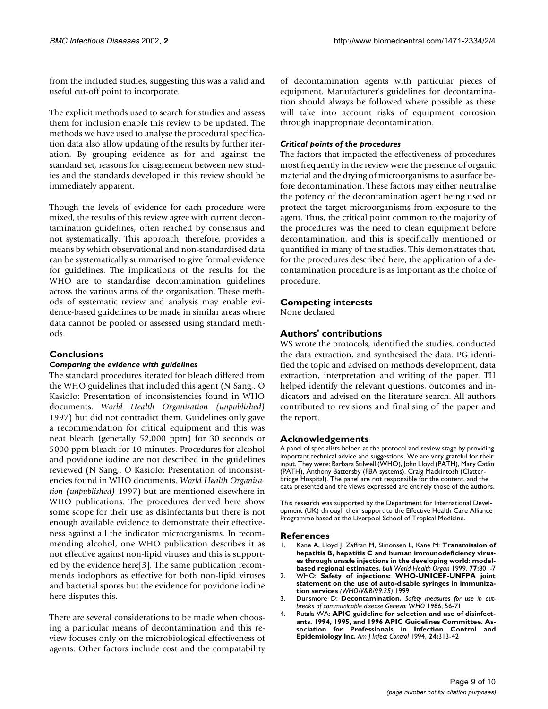from the included studies, suggesting this was a valid and useful cut-off point to incorporate.

The explicit methods used to search for studies and assess them for inclusion enable this review to be updated. The methods we have used to analyse the procedural specification data also allow updating of the results by further iteration. By grouping evidence as for and against the standard set, reasons for disagreement between new studies and the standards developed in this review should be immediately apparent.

Though the levels of evidence for each procedure were mixed, the results of this review agree with current decontamination guidelines, often reached by consensus and not systematically. This approach, therefore, provides a means by which observational and non-standardised data can be systematically summarised to give formal evidence for guidelines. The implications of the results for the WHO are to standardise decontamination guidelines across the various arms of the organisation. These methods of systematic review and analysis may enable evidence-based guidelines to be made in similar areas where data cannot be pooled or assessed using standard methods.

# **Conclusions**

## *Comparing the evidence with guidelines*

The standard procedures iterated for bleach differed from the WHO guidelines that included this agent (N Sang,. O Kasiolo: Presentation of inconsistencies found in WHO documents. *World Health Organisation (unpublished)* 1997) but did not contradict them. Guidelines only gave a recommendation for critical equipment and this was neat bleach (generally 52,000 ppm) for 30 seconds or 5000 ppm bleach for 10 minutes. Procedures for alcohol and povidone iodine are not described in the guidelines reviewed (N Sang,. O Kasiolo: Presentation of inconsistencies found in WHO documents. *World Health Organisation (unpublished)* 1997) but are mentioned elsewhere in WHO publications. The procedures derived here show some scope for their use as disinfectants but there is not enough available evidence to demonstrate their effectiveness against all the indicator microorganisms. In recommending alcohol, one WHO publication describes it as not effective against non-lipid viruses and this is supported by the evidence here[3]. The same publication recommends iodophors as effective for both non-lipid viruses and bacterial spores but the evidence for povidone iodine here disputes this.

There are several considerations to be made when choosing a particular means of decontamination and this review focuses only on the microbiological effectiveness of agents. Other factors include cost and the compatability of decontamination agents with particular pieces of equipment. Manufacturer's guidelines for decontamination should always be followed where possible as these will take into account risks of equipment corrosion through inappropriate decontamination.

## *Critical points of the procedures*

The factors that impacted the effectiveness of procedures most frequently in the review were the presence of organic material and the drying of microorganisms to a surface before decontamination. These factors may either neutralise the potency of the decontamination agent being used or protect the target microorganisms from exposure to the agent. Thus, the critical point common to the majority of the procedures was the need to clean equipment before decontamination, and this is specifically mentioned or quantified in many of the studies. This demonstrates that, for the procedures described here, the application of a decontamination procedure is as important as the choice of procedure.

# **Competing interests**

None declared

# **Authors' contributions**

WS wrote the protocols, identified the studies, conducted the data extraction, and synthesised the data. PG identified the topic and advised on methods development, data extraction, interpretation and writing of the paper. TH helped identify the relevant questions, outcomes and indicators and advised on the literature search. All authors contributed to revisions and finalising of the paper and the report.

# **Acknowledgements**

A panel of specialists helped at the protocol and review stage by providing important technical advice and suggestions. We are very grateful for their input. They were: Barbara Stilwell (WHO), John Lloyd (PATH), Mary Catlin (PATH), Anthony Battersby (FBA systems), Craig Mackintosh (Clatterbridge Hospital). The panel are not responsible for the content, and the data presented and the views expressed are entirely those of the authors.

This research was supported by the Department for International Development (UK) through their support to the Effective Health Care Alliance Programme based at the Liverpool School of Tropical Medicine.

## **References**

- 1. [Kane A, Lloyd J, Zaffran M, Simonsen L, Kane M:](http://www.ncbi.nlm.nih.gov/entrez/query.fcgi?cmd=Retrieve&db=PubMed&dopt=Abstract&list_uids=10593027) **Transmission of hepatitis B, hepatitis C and human immunodeficiency viruses through unsafe injections in the developing world: modelbased regional estimates.** *Bull World Health Organ* 1999, **77:**801-7
- 2. WHO: **Safety of injections: WHO-UNICEF-UNFPA joint statement on the use of auto-disable syringes in immunization services** *(WHO/V&B/99.25)* 1999
- 3. Dunsmore D: **Decontamination.** *Safety measures for use in outbreaks of communicable disease Geneva: WHO* 1986, 56-71
- 4. [Rutala WA:](http://www.ncbi.nlm.nih.gov/entrez/query.fcgi?cmd=Retrieve&db=PubMed&dopt=Abstract&list_uids=8870916) **APIC guideline for selection and use of disinfectants. 1994, 1995, and 1996 APIC Guidelines Committee. Association for Professionals in Infection Control and Epidemiology Inc.** *Am J Infect Control* 1994, **24:**313-42